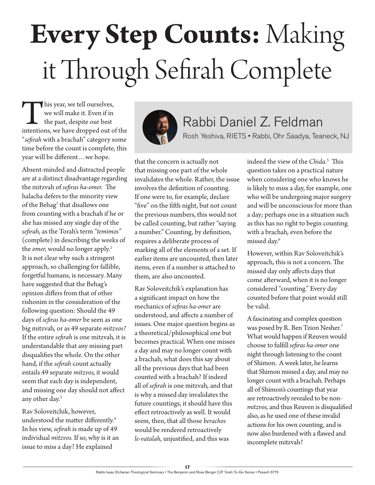## **Every Step Counts:** Making it Through Sefirah Complete

This year, we tell ourselves,<br>
we will make it. Even if in<br>
the past, despite our best<br>
intentions, we have dropped out of the we will make it. Even if in the past, despite our best "*sefirah* with a brachah" category some time before the count is complete, this year will be different…we hope.

Absent-minded and distracted people are at a distinct disadvantage regarding the mitzvah of *sefiras ha-omer.* The halacha defers to the minority view of the Behag<sup>1</sup> that disallows one from counting with a brachah if he or she has missed any single day of the *sefirah,* as the Torah's term *"temimos"* (complete) in describing the weeks of the *omer*, would no longer apply.<sup>2</sup> It is not clear why such a stringent approach, so challenging for fallible, forgetful humans, is necessary. Many have suggested that the Behag's opinion differs from that of other rishonim in the consideration of the following question: Should the 49 days of *sefiras ha-omer* be seen as one big mitzvah*,* or as 49 separate *mitzvos?* If the entire *sefirah* is one mitzvah*,* it is understandable that any missing part disqualifies the whole. On the other hand, if the *sefirah* count actually entails 49 separate *mitzvos,* it would seem that each day is independent, and missing one day should not affect any other day.3

Rav Soloveitchik, however, understood the matter differently.4 In his view, *sefirah* is made up of 49 individual *mitzvos.* If so, why is it an issue to miss a day? He explained



## Rabbi Daniel Z. Feldman

Rosh Yeshiva, RIETS • Rabbi, Ohr Saadya, Teaneck, NJ

that the concern is actually not that missing one part of the whole invalidates the whole. Rather, the issue involves the definition of counting. If one were to, for example, declare "five" on the fifth night, but not count the previous numbers, this would not be called counting, but rather "saying a number." Counting, by definition, requires a deliberate process of marking all of the elements of a set. If earlier items are uncounted, then later items, even if a number is attached to them, are also uncounted.

Rav Soloveitchik's explanation has a significant impact on how the mechanics of *sefiras ha-omer* are understood, and affects a number of issues. One major question begins as a theoretical/philosophical one but becomes practical. When one misses a day and may no longer count with a brachah, what does this say about all the previous days that had been counted with a brachah? If indeed all of *sefirah* is one mitzvah*,* and that is why a missed day invalidates the future countings, it should have this effect retroactively as well. It would seem, then, that all those *berachos*  would be rendered retroactively *le-vatalah,* unjustified, and this was

indeed the view of the *Chida*. 5 This question takes on a practical nature when considering one who knows he is likely to miss a day, for example, one who will be undergoing major surgery and will be unconscious for more than a day; perhaps one in a situation such as this has no right to begin counting with a brachah*,* even before the missed day.6

However, within Rav Soloveitchik's approach, this is not a concern. The missed day only affects days that come afterward, when it is no longer considered "counting." Every day counted before that point would still be valid.

A fascinating and complex question was posed by R. Ben Tzion Nesher.7 What would happen if Reuven would choose to fulfill *sefiras ha-omer* one night through listening to the count of Shimon. A week later, he learns that Shimon missed a day, and may no longer count with a brachah*.* Perhaps all of Shimon's countings that year are retroactively revealed to be non*mitzvos,* and thus Reuven is disqualified also, as he used one of these invalid actions for his own counting, and is now also burdened with a flawed and incomplete mitzvah?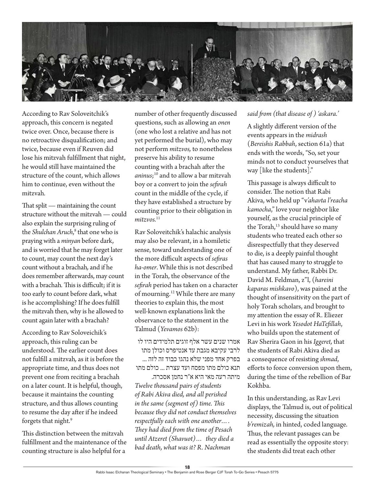

According to Rav Soloveitchik's approach, this concern is negated twice over. Once, because there is no retroactive disqualification; and twice, because even if Reuven did lose his mitzvah fulfillment that night, he would still have maintained the structure of the count, which allows him to continue, even without the mitzvah*.* 

That split — maintaining the count structure without the mitzvah — could also explain the surprising ruling of the *Shulchan Aruch*, 8 that one who is praying with a *minyan* before dark, and is worried that he may forget later to count, may count the next day's count without a brachah*,* and if he does remember afterwards, may count with a brachah*.* This is difficult; if it is too early to count before dark, what is he accomplishing? If he does fulfill the mitzvah then, why is he allowed to count again later with a brachah?

According to Rav Soloveichik's approach, this ruling can be understood. The earlier count does not fulfill a mitzvah*,* as it is before the appropriate time, and thus does not prevent one from reciting a brachah on a later count. It is helpful, though, because it maintains the counting structure, and thus allows counting to resume the day after if he indeed forgets that night.<sup>9</sup>

This distinction between the mitzvah fulfillment and the maintenance of the counting structure is also helpful for a

number of other frequently discussed questions, such as allowing an *onen*  (one who lost a relative and has not yet performed the burial), who may not perform *mitzvos,* to nonetheless preserve his ability to resume counting with a brachah after the *aninus*; 10 and to allow a bar mitzvah boy or a convert to join the *sefirah*  count in the middle of the cycle, if they have established a structure by counting prior to their obligation in  $mitzvos.<sup>11</sup>$ 

Rav Soloveitchik's halachic analysis may also be relevant, in a homiletic sense, toward understanding one of the more difficult aspects of *sefiras ha-omer*. While this is not described in the Torah, the observance of the *sefirah* period has taken on a character of mourning.12 While there are many theories to explain this, the most well-known explanations link the observance to the statement in the Talmud (*Yevamos* 62b):

אמרו שנים עשר אלף זוגים תלמידים היו לו לרבי עקיבא מגבת עד אנטיפרס וכולן מתו בפרק אחד מפני שלא נהגו כבוד זה לזה ... תנא כולם מתו מפסח ועד עצרת ... כולם מתו

מיתה רעה מאי היא א"ר נחמן אסכרה. *Twelve thousand pairs of students of Rabi Akiva died, and all perished in the same (segment of) time. This because they did not conduct themselves respectfully each with one another…. They had died from the time of Pesach until Atzeret (Shavuot)… they died a bad death, what was it? R. Nachman* 

## *said from (that disease of ) 'askara.'*

A slightly different version of the events appears in the *midrash* (*Bereishis Rabbah*, section 61a) that ends with the words, "So, set your minds not to conduct yourselves that way [like the students]."

This passage is always difficult to consider. The notion that Rabi Akiva, who held up "v*'ahavta l'reacha kamocha*," love your neighbor like yourself, as the crucial principle of the Torah,<sup>13</sup> should have so many students who treated each other so disrespectfully that they deserved to die, is a deeply painful thought that has caused many to struggle to understand. My father, Rabbi Dr. David M. Feldman, z"l, (*hareini kaparas mishkavo*), was pained at the thought of insensitivity on the part of holy Torah scholars, and brought to my attention the essay of R. Eliezer Levi in his work *Yesodot HaTefillah*, who builds upon the statement of Rav Sherira Gaon in his *Iggeret,* that the students of Rabi Akiva died as a consequence of resisting *shmad*, efforts to force conversion upon them, during the time of the rebellion of Bar Kokhba.

In this understanding, as Rav Levi displays, the Talmud is, out of political necessity, discussing the situation *b'remizah,* in hinted, coded language. Thus, the relevant passages can be read as essentially the opposite story: the students did treat each other